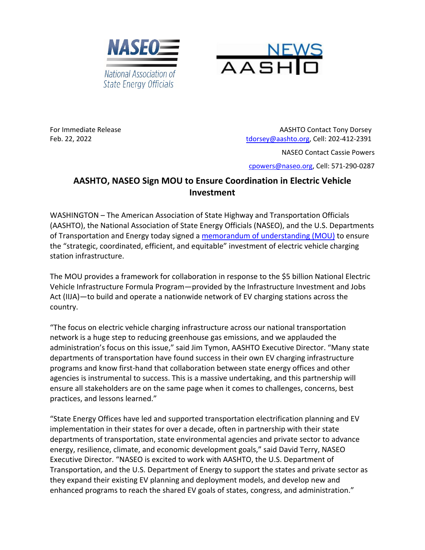



For Immediate Release AASHTO Contact Tony Dorsey Feb. 22, 2022 [tdorsey@aashto.org,](mailto:tdorsey@aashto.org) Cell: 202-412-2391

NASEO Contact Cassie Powers

[cpowers@naseo.org,](mailto:cpowers@naseo.org) Cell: 571-290-0287

## **AASHTO, NASEO Sign MOU to Ensure Coordination in Electric Vehicle Investment**

WASHINGTON – The American Association of State Highway and Transportation Officials (AASHTO), the National Association of State Energy Officials (NASEO), and the U.S. Departments of Transportation and Energy today signed a [memorandum of understanding](https://www.naseo.org/Data/Sites/1/documents/tk-news/naseo-aashto-joet-nevi-mou-signed-final.pdf) (MOU) to ensure the "strategic, coordinated, efficient, and equitable" investment of electric vehicle charging station infrastructure.

The MOU provides a framework for collaboration in response to the \$5 billion National Electric Vehicle Infrastructure Formula Program—provided by the Infrastructure Investment and Jobs Act (IIJA)—to build and operate a nationwide network of EV charging stations across the country.

"The focus on electric vehicle charging infrastructure across our national transportation network is a huge step to reducing greenhouse gas emissions, and we applauded the administration's focus on this issue," said Jim Tymon, AASHTO Executive Director. "Many state departments of transportation have found success in their own EV charging infrastructure programs and know first-hand that collaboration between state energy offices and other agencies is instrumental to success. This is a massive undertaking, and this partnership will ensure all stakeholders are on the same page when it comes to challenges, concerns, best practices, and lessons learned."

"State Energy Offices have led and supported transportation electrification planning and EV implementation in their states for over a decade, often in partnership with their state departments of transportation, state environmental agencies and private sector to advance energy, resilience, climate, and economic development goals," said David Terry, NASEO Executive Director. "NASEO is excited to work with AASHTO, the U.S. Department of Transportation, and the U.S. Department of Energy to support the states and private sector as they expand their existing EV planning and deployment models, and develop new and enhanced programs to reach the shared EV goals of states, congress, and administration."